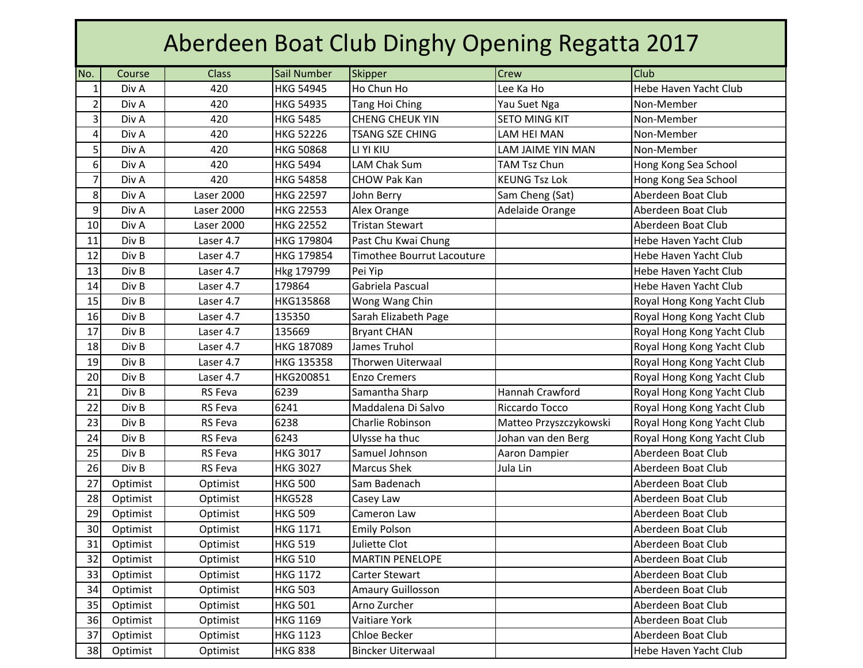| Aberdeen Boat Club Dinghy Opening Regatta 2017 |          |                |                  |                            |                        |                            |  |  |  |
|------------------------------------------------|----------|----------------|------------------|----------------------------|------------------------|----------------------------|--|--|--|
| No.                                            | Course   | <b>Class</b>   | Sail Number      | <b>Skipper</b>             | Crew                   | Club                       |  |  |  |
| $\mathbf{1}$                                   | Div A    | 420            | <b>HKG 54945</b> | Ho Chun Ho                 | Lee Ka Ho              | Hebe Haven Yacht Club      |  |  |  |
| $\overline{2}$                                 | Div A    | 420            | <b>HKG 54935</b> | <b>Tang Hoi Ching</b>      | Yau Suet Nga           | Non-Member                 |  |  |  |
| 3                                              | Div A    | 420            | <b>HKG 5485</b>  | <b>CHENG CHEUK YIN</b>     | <b>SETO MING KIT</b>   | Non-Member                 |  |  |  |
| $\overline{\mathbf{4}}$                        | Div A    | 420            | <b>HKG 52226</b> | <b>TSANG SZE CHING</b>     | LAM HEI MAN            | Non-Member                 |  |  |  |
| 5                                              | Div A    | 420            | <b>HKG 50868</b> | LI YI KIU                  | LAM JAIME YIN MAN      | Non-Member                 |  |  |  |
| 6                                              | Div A    | 420            | <b>HKG 5494</b>  | LAM Chak Sum               | <b>TAM Tsz Chun</b>    | Hong Kong Sea School       |  |  |  |
| $\overline{7}$                                 | Div A    | 420            | <b>HKG 54858</b> | <b>CHOW Pak Kan</b>        | <b>KEUNG Tsz Lok</b>   | Hong Kong Sea School       |  |  |  |
| 8                                              | Div A    | Laser 2000     | <b>HKG 22597</b> | John Berry                 | Sam Cheng (Sat)        | Aberdeen Boat Club         |  |  |  |
| 9                                              | Div A    | Laser 2000     | <b>HKG 22553</b> | Alex Orange                | Adelaide Orange        | Aberdeen Boat Club         |  |  |  |
| 10                                             | Div A    | Laser 2000     | <b>HKG 22552</b> | <b>Tristan Stewart</b>     |                        | Aberdeen Boat Club         |  |  |  |
| 11                                             | Div B    | Laser 4.7      | HKG 179804       | Past Chu Kwai Chung        |                        | Hebe Haven Yacht Club      |  |  |  |
| 12                                             | Div B    | Laser 4.7      | HKG 179854       | Timothee Bourrut Lacouture |                        | Hebe Haven Yacht Club      |  |  |  |
| 13                                             | Div B    | Laser 4.7      | Hkg 179799       | Pei Yip                    |                        | Hebe Haven Yacht Club      |  |  |  |
| 14                                             | Div B    | Laser 4.7      | 179864           | Gabriela Pascual           |                        | Hebe Haven Yacht Club      |  |  |  |
| 15                                             | Div B    | Laser 4.7      | HKG135868        | Wong Wang Chin             |                        | Royal Hong Kong Yacht Club |  |  |  |
| 16                                             | Div B    | Laser 4.7      | 135350           | Sarah Elizabeth Page       |                        | Royal Hong Kong Yacht Club |  |  |  |
| 17                                             | Div B    | Laser 4.7      | 135669           | <b>Bryant CHAN</b>         |                        | Royal Hong Kong Yacht Club |  |  |  |
| 18                                             | Div B    | Laser 4.7      | HKG 187089       | James Truhol               |                        | Royal Hong Kong Yacht Club |  |  |  |
| 19                                             | Div B    | Laser 4.7      | HKG 135358       | Thorwen Uiterwaal          |                        | Royal Hong Kong Yacht Club |  |  |  |
| 20                                             | Div B    | Laser 4.7      | HKG200851        | <b>Enzo Cremers</b>        |                        | Royal Hong Kong Yacht Club |  |  |  |
| 21                                             | Div B    | <b>RS</b> Feva | 6239             | Samantha Sharp             | Hannah Crawford        | Royal Hong Kong Yacht Club |  |  |  |
| 22                                             | Div B    | <b>RS</b> Feva | 6241             | Maddalena Di Salvo         | Riccardo Tocco         | Royal Hong Kong Yacht Club |  |  |  |
| 23                                             | Div B    | <b>RS Feva</b> | 6238             | Charlie Robinson           | Matteo Przyszczykowski | Royal Hong Kong Yacht Club |  |  |  |
| 24                                             | Div B    | <b>RS</b> Feva | 6243             | Ulysse ha thuc             | Johan van den Berg     | Royal Hong Kong Yacht Club |  |  |  |
| 25                                             | Div B    | <b>RS</b> Feva | <b>HKG 3017</b>  | Samuel Johnson             | Aaron Dampier          | Aberdeen Boat Club         |  |  |  |
| 26                                             | Div B    | RS Feva        | <b>HKG 3027</b>  | <b>Marcus Shek</b>         | Jula Lin               | Aberdeen Boat Club         |  |  |  |
| 27                                             | Optimist | Optimist       | <b>HKG 500</b>   | Sam Badenach               |                        | Aberdeen Boat Club         |  |  |  |
| 28                                             | Optimist | Optimist       | <b>HKG528</b>    | Casey Law                  |                        | Aberdeen Boat Club         |  |  |  |
| 29                                             | Optimist | Optimist       | <b>HKG 509</b>   | Cameron Law                |                        | Aberdeen Boat Club         |  |  |  |
| 30                                             | Optimist | Optimist       | <b>HKG 1171</b>  | <b>Emily Polson</b>        |                        | Aberdeen Boat Club         |  |  |  |
| 31                                             | Optimist | Optimist       | <b>HKG 519</b>   | Juliette Clot              |                        | Aberdeen Boat Club         |  |  |  |
| 32                                             | Optimist | Optimist       | <b>HKG 510</b>   | <b>MARTIN PENELOPE</b>     |                        | Aberdeen Boat Club         |  |  |  |
| 33                                             | Optimist | Optimist       | <b>HKG 1172</b>  | Carter Stewart             |                        | Aberdeen Boat Club         |  |  |  |
| 34                                             | Optimist | Optimist       | <b>HKG 503</b>   | <b>Amaury Guillosson</b>   |                        | Aberdeen Boat Club         |  |  |  |
| 35                                             | Optimist | Optimist       | <b>HKG 501</b>   | Arno Zurcher               |                        | Aberdeen Boat Club         |  |  |  |
| 36                                             | Optimist | Optimist       | <b>HKG 1169</b>  | Vaitiare York              |                        | Aberdeen Boat Club         |  |  |  |
| 37                                             | Optimist | Optimist       | <b>HKG 1123</b>  | Chloe Becker               |                        | Aberdeen Boat Club         |  |  |  |
| 38                                             | Optimist | Optimist       | <b>HKG 838</b>   | <b>Bincker Uiterwaal</b>   |                        | Hebe Haven Yacht Club      |  |  |  |